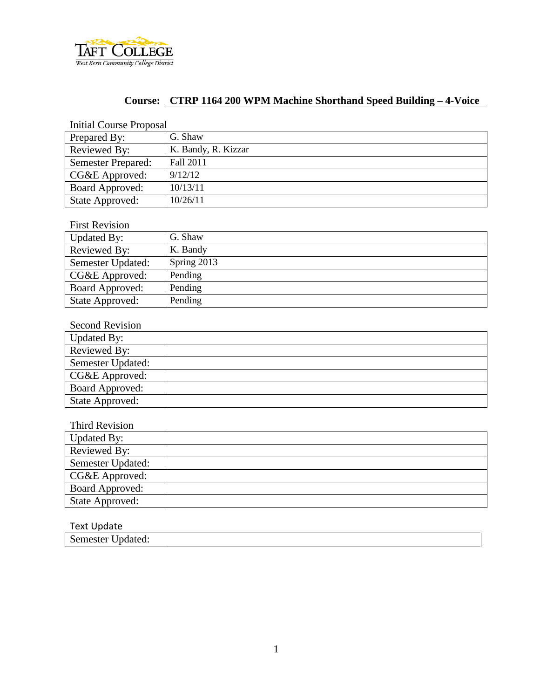

# **Course: CTRP 1164 200 WPM Machine Shorthand Speed Building – 4-Voice**

Initial Course Proposal

| Prepared By:              | G. Shaw             |
|---------------------------|---------------------|
| Reviewed By:              | K. Bandy, R. Kizzar |
| <b>Semester Prepared:</b> | Fall 2011           |
| CG&E Approved:            | 9/12/12             |
| Board Approved:           | 10/13/11            |
| <b>State Approved:</b>    | 10/26/11            |

# First Revision

| <b>Updated By:</b> | G. Shaw     |  |  |
|--------------------|-------------|--|--|
| Reviewed By:       | K. Bandy    |  |  |
| Semester Updated:  | Spring 2013 |  |  |
| CG&E Approved:     | Pending     |  |  |
| Board Approved:    | Pending     |  |  |
| State Approved:    | Pending     |  |  |

# Second Revision

| Updated By:            |  |
|------------------------|--|
| Reviewed By:           |  |
| Semester Updated:      |  |
| CG&E Approved:         |  |
| <b>Board Approved:</b> |  |
| State Approved:        |  |

# Third Revision

| Updated By:            |  |
|------------------------|--|
| Reviewed By:           |  |
| Semester Updated:      |  |
| CG&E Approved:         |  |
| <b>Board Approved:</b> |  |
| State Approved:        |  |

Text Update

| $ -$<br>$\mathbf C$<br>mester<br>- - -<br>nateu.<br>. $\sim$ $\epsilon$<br>I 11<br>$\sim$ $\sim$ $\sim$ $\sim$ $\sim$ |  |
|-----------------------------------------------------------------------------------------------------------------------|--|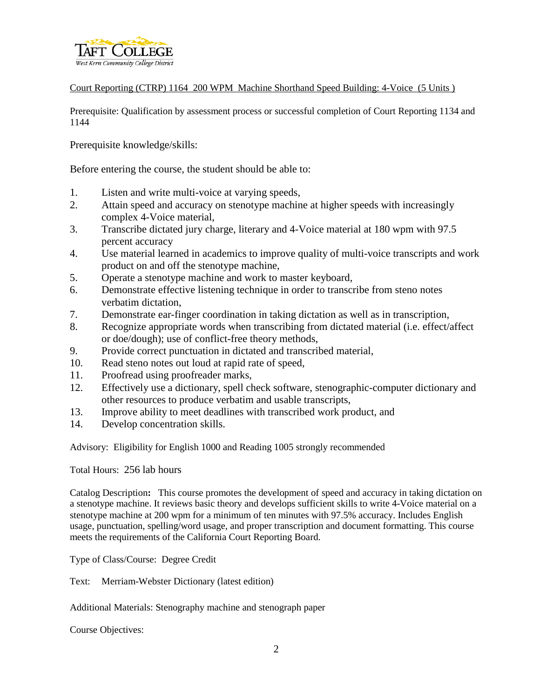

Court Reporting (CTRP) 1164 200 WPM Machine Shorthand Speed Building: 4-Voice (5 Units )

Prerequisite: Qualification by assessment process or successful completion of Court Reporting 1134 and 1144

Prerequisite knowledge/skills:

Before entering the course, the student should be able to:

- 1. Listen and write multi-voice at varying speeds,
- 2. Attain speed and accuracy on stenotype machine at higher speeds with increasingly complex 4-Voice material,
- 3. Transcribe dictated jury charge, literary and 4-Voice material at 180 wpm with 97.5 percent accuracy
- 4. Use material learned in academics to improve quality of multi-voice transcripts and work product on and off the stenotype machine,
- 5. Operate a stenotype machine and work to master keyboard,
- 6. Demonstrate effective listening technique in order to transcribe from steno notes verbatim dictation,
- 7. Demonstrate ear-finger coordination in taking dictation as well as in transcription,
- 8. Recognize appropriate words when transcribing from dictated material (i.e. effect/affect or doe/dough); use of conflict-free theory methods,
- 9. Provide correct punctuation in dictated and transcribed material,
- 10. Read steno notes out loud at rapid rate of speed,
- 11. Proofread using proofreader marks,
- 12. Effectively use a dictionary, spell check software, stenographic-computer dictionary and other resources to produce verbatim and usable transcripts,
- 13. Improve ability to meet deadlines with transcribed work product, and
- 14. Develop concentration skills.

Advisory: Eligibility for English 1000 and Reading 1005 strongly recommended

#### Total Hours: 256 lab hours

Catalog Description**:** This course promotes the development of speed and accuracy in taking dictation on a stenotype machine. It reviews basic theory and develops sufficient skills to write 4-Voice material on a stenotype machine at 200 wpm for a minimum of ten minutes with 97.5% accuracy. Includes English usage, punctuation, spelling/word usage, and proper transcription and document formatting. This course meets the requirements of the California Court Reporting Board.

Type of Class/Course: Degree Credit

Text: Merriam-Webster Dictionary (latest edition)

Additional Materials: Stenography machine and stenograph paper

Course Objectives: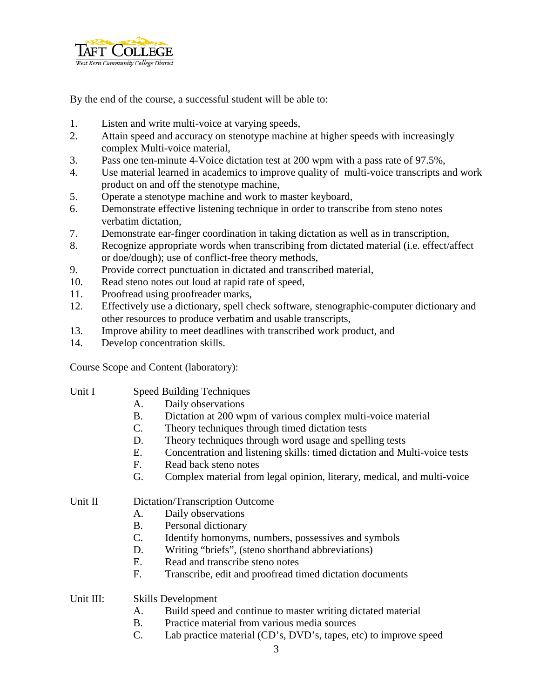

By the end of the course, a successful student will be able to:

- 1. Listen and write multi-voice at varying speeds,
- 2. Attain speed and accuracy on stenotype machine at higher speeds with increasingly complex Multi-voice material,
- 3. Pass one ten-minute 4-Voice dictation test at 200 wpm with a pass rate of 97.5%,
- 4. Use material learned in academics to improve quality of multi-voice transcripts and work product on and off the stenotype machine,
- 5. Operate a stenotype machine and work to master keyboard,
- 6. Demonstrate effective listening technique in order to transcribe from steno notes verbatim dictation,
- 7. Demonstrate ear-finger coordination in taking dictation as well as in transcription,
- 8. Recognize appropriate words when transcribing from dictated material (i.e. effect/affect or doe/dough); use of conflict-free theory methods,
- 9. Provide correct punctuation in dictated and transcribed material,
- 10. Read steno notes out loud at rapid rate of speed,
- 11. Proofread using proofreader marks,
- 12. Effectively use a dictionary, spell check software, stenographic-computer dictionary and other resources to produce verbatim and usable transcripts,
- 13. Improve ability to meet deadlines with transcribed work product, and
- 14. Develop concentration skills.

Course Scope and Content (laboratory):

- Unit I Speed Building Techniques
	- A. Daily observations
	- B. Dictation at 200 wpm of various complex multi-voice material
	- C. Theory techniques through timed dictation tests
	- D. Theory techniques through word usage and spelling tests
	- E. Concentration and listening skills: timed dictation and Multi-voice tests
	- F. Read back steno notes
	- G. Complex material from legal opinion, literary, medical, and multi-voice

# Unit II Dictation/Transcription Outcome

- A. Daily observations
- B. Personal dictionary
- C. Identify homonyms, numbers, possessives and symbols
- D. Writing "briefs", (steno shorthand abbreviations)
- E. Read and transcribe steno notes
- F. Transcribe, edit and proofread timed dictation documents

# Unit III: Skills Development

- A. Build speed and continue to master writing dictated material
- B. Practice material from various media sources
- C. Lab practice material (CD's, DVD's, tapes, etc) to improve speed